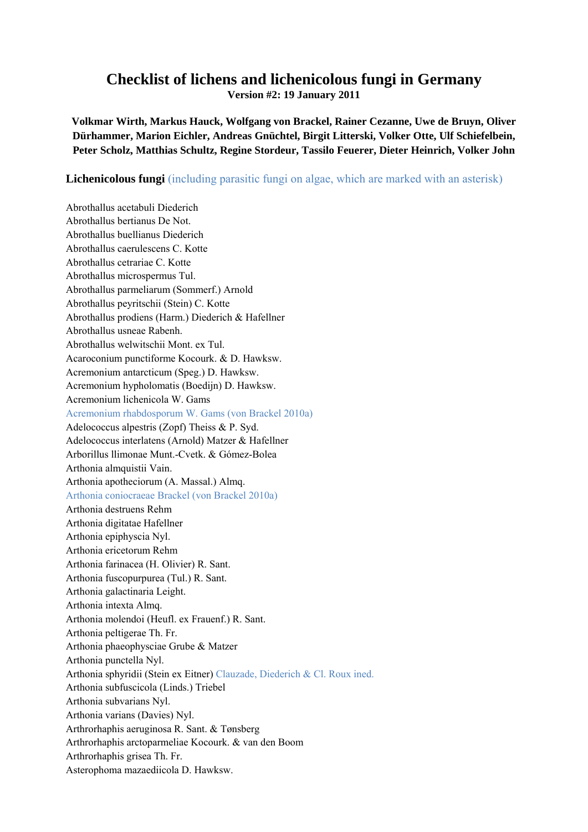## **Checklist of lichens and lichenicolous fungi in Germany**

**Version #2: 19 January 2011** 

**Volkmar Wirth, Markus Hauck, Wolfgang von Brackel, Rainer Cezanne, Uwe de Bruyn, Oliver Dürhammer, Marion Eichler, Andreas Gnüchtel, Birgit Litterski, Volker Otte, Ulf Schiefelbein, Peter Scholz, Matthias Schultz, Regine Stordeur, Tassilo Feuerer, Dieter Heinrich, Volker John** 

**Lichenicolous fungi** (including parasitic fungi on algae, which are marked with an asterisk)

Abrothallus acetabuli Diederich Abrothallus bertianus De Not. Abrothallus buellianus Diederich Abrothallus caerulescens C. Kotte Abrothallus cetrariae C. Kotte Abrothallus microspermus Tul. Abrothallus parmeliarum (Sommerf.) Arnold Abrothallus peyritschii (Stein) C. Kotte Abrothallus prodiens (Harm.) Diederich & Hafellner Abrothallus usneae Rabenh. Abrothallus welwitschii Mont. ex Tul. Acaroconium punctiforme Kocourk. & D. Hawksw. Acremonium antarcticum (Speg.) D. Hawksw. Acremonium hypholomatis (Boedijn) D. Hawksw. Acremonium lichenicola W. Gams Acremonium rhabdosporum W. Gams (von Brackel 2010a) Adelococcus alpestris (Zopf) Theiss & P. Syd. Adelococcus interlatens (Arnold) Matzer & Hafellner Arborillus llimonae Munt.-Cvetk. & Gómez-Bolea Arthonia almquistii Vain. Arthonia apotheciorum (A. Massal.) Almq. Arthonia coniocraeae Brackel (von Brackel 2010a) Arthonia destruens Rehm Arthonia digitatae Hafellner Arthonia epiphyscia Nyl. Arthonia ericetorum Rehm Arthonia farinacea (H. Olivier) R. Sant. Arthonia fuscopurpurea (Tul.) R. Sant. Arthonia galactinaria Leight. Arthonia intexta Almq. Arthonia molendoi (Heufl. ex Frauenf.) R. Sant. Arthonia peltigerae Th. Fr. Arthonia phaeophysciae Grube & Matzer Arthonia punctella Nyl. Arthonia sphyridii (Stein ex Eitner) Clauzade, Diederich & Cl. Roux ined. Arthonia subfuscicola (Linds.) Triebel Arthonia subvarians Nyl. Arthonia varians (Davies) Nyl. Arthrorhaphis aeruginosa R. Sant. & Tønsberg Arthrorhaphis arctoparmeliae Kocourk. & van den Boom Arthrorhaphis grisea Th. Fr. Asterophoma mazaediicola D. Hawksw.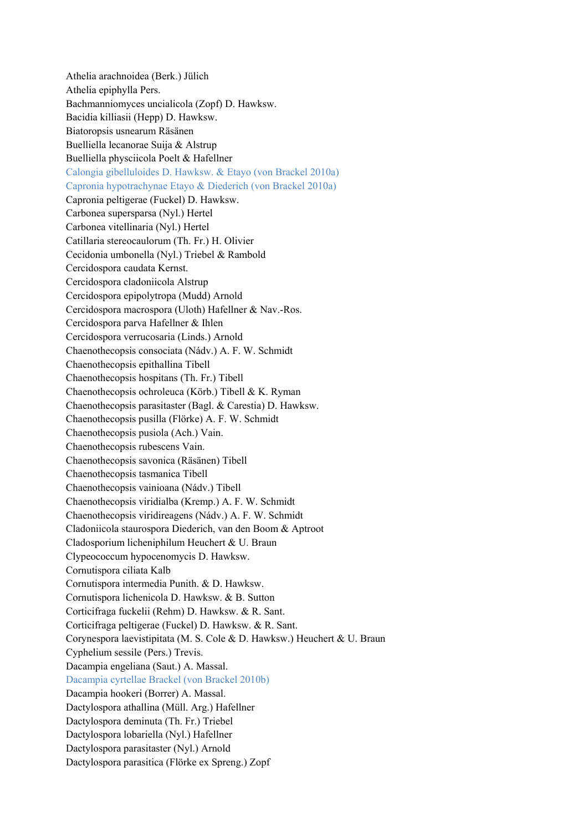Athelia arachnoidea (Berk.) Jülich Athelia epiphylla Pers. Bachmanniomyces uncialicola (Zopf) D. Hawksw. Bacidia killiasii (Hepp) D. Hawksw. Biatoropsis usnearum Räsänen Buelliella lecanorae Suija & Alstrup Buelliella physciicola Poelt & Hafellner Calongia gibelluloides D. Hawksw. & Etayo (von Brackel 2010a) Capronia hypotrachynae Etayo & Diederich (von Brackel 2010a) Capronia peltigerae (Fuckel) D. Hawksw. Carbonea supersparsa (Nyl.) Hertel Carbonea vitellinaria (Nyl.) Hertel Catillaria stereocaulorum (Th. Fr.) H. Olivier Cecidonia umbonella (Nyl.) Triebel & Rambold Cercidospora caudata Kernst. Cercidospora cladoniicola Alstrup Cercidospora epipolytropa (Mudd) Arnold Cercidospora macrospora (Uloth) Hafellner & Nav.-Ros. Cercidospora parva Hafellner & Ihlen Cercidospora verrucosaria (Linds.) Arnold Chaenothecopsis consociata (Nádv.) A. F. W. Schmidt Chaenothecopsis epithallina Tibell Chaenothecopsis hospitans (Th. Fr.) Tibell Chaenothecopsis ochroleuca (Körb.) Tibell & K. Ryman Chaenothecopsis parasitaster (Bagl. & Carestia) D. Hawksw. Chaenothecopsis pusilla (Flörke) A. F. W. Schmidt Chaenothecopsis pusiola (Ach.) Vain. Chaenothecopsis rubescens Vain. Chaenothecopsis savonica (Räsänen) Tibell Chaenothecopsis tasmanica Tibell Chaenothecopsis vainioana (Nádv.) Tibell Chaenothecopsis viridialba (Kremp.) A. F. W. Schmidt Chaenothecopsis viridireagens (Nádv.) A. F. W. Schmidt Cladoniicola staurospora Diederich, van den Boom & Aptroot Cladosporium licheniphilum Heuchert & U. Braun Clypeococcum hypocenomycis D. Hawksw. Cornutispora ciliata Kalb Cornutispora intermedia Punith. & D. Hawksw. Cornutispora lichenicola D. Hawksw. & B. Sutton Corticifraga fuckelii (Rehm) D. Hawksw. & R. Sant. Corticifraga peltigerae (Fuckel) D. Hawksw. & R. Sant. Corynespora laevistipitata (M. S. Cole & D. Hawksw.) Heuchert & U. Braun Cyphelium sessile (Pers.) Trevis. Dacampia engeliana (Saut.) A. Massal. Dacampia cyrtellae Brackel (von Brackel 2010b) Dacampia hookeri (Borrer) A. Massal. Dactylospora athallina (Müll. Arg.) Hafellner Dactylospora deminuta (Th. Fr.) Triebel Dactylospora lobariella (Nyl.) Hafellner Dactylospora parasitaster (Nyl.) Arnold Dactylospora parasitica (Flörke ex Spreng.) Zopf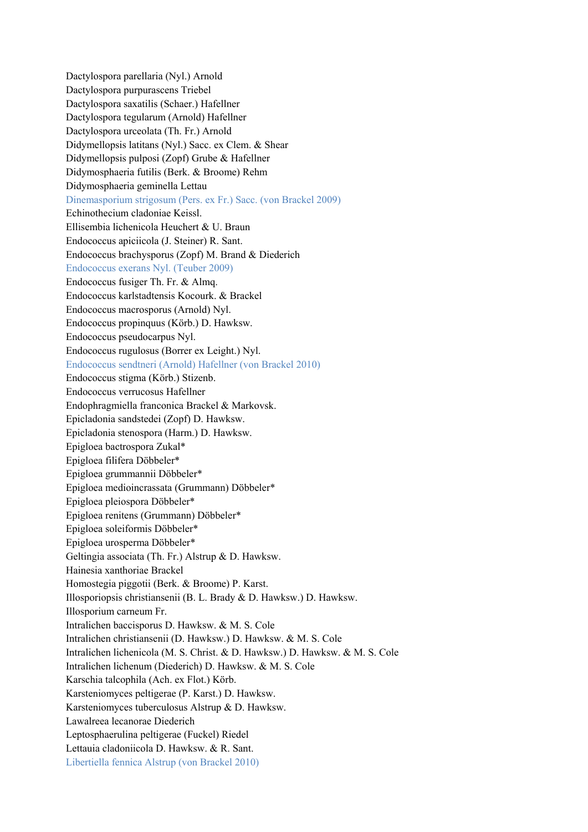Dactylospora parellaria (Nyl.) Arnold Dactylospora purpurascens Triebel Dactylospora saxatilis (Schaer.) Hafellner Dactylospora tegularum (Arnold) Hafellner Dactylospora urceolata (Th. Fr.) Arnold Didymellopsis latitans (Nyl.) Sacc. ex Clem. & Shear Didymellopsis pulposi (Zopf) Grube & Hafellner Didymosphaeria futilis (Berk. & Broome) Rehm Didymosphaeria geminella Lettau Dinemasporium strigosum (Pers. ex Fr.) Sacc. (von Brackel 2009) Echinothecium cladoniae Keissl. Ellisembia lichenicola Heuchert & U. Braun Endococcus apiciicola (J. Steiner) R. Sant. Endococcus brachysporus (Zopf) M. Brand & Diederich Endococcus exerans Nyl. (Teuber 2009) Endococcus fusiger Th. Fr. & Almq. Endococcus karlstadtensis Kocourk. & Brackel Endococcus macrosporus (Arnold) Nyl. Endococcus propinquus (Körb.) D. Hawksw. Endococcus pseudocarpus Nyl. Endococcus rugulosus (Borrer ex Leight.) Nyl. Endococcus sendtneri (Arnold) Hafellner (von Brackel 2010) Endococcus stigma (Körb.) Stizenb. Endococcus verrucosus Hafellner Endophragmiella franconica Brackel & Markovsk. Epicladonia sandstedei (Zopf) D. Hawksw. Epicladonia stenospora (Harm.) D. Hawksw. Epigloea bactrospora Zukal\* Epigloea filifera Döbbeler\* Epigloea grummannii Döbbeler\* Epigloea medioincrassata (Grummann) Döbbeler\* Epigloea pleiospora Döbbeler\* Epigloea renitens (Grummann) Döbbeler\* Epigloea soleiformis Döbbeler\* Epigloea urosperma Döbbeler\* Geltingia associata (Th. Fr.) Alstrup & D. Hawksw. Hainesia xanthoriae Brackel Homostegia piggotii (Berk. & Broome) P. Karst. Illosporiopsis christiansenii (B. L. Brady & D. Hawksw.) D. Hawksw. Illosporium carneum Fr. Intralichen baccisporus D. Hawksw. & M. S. Cole Intralichen christiansenii (D. Hawksw.) D. Hawksw. & M. S. Cole Intralichen lichenicola (M. S. Christ. & D. Hawksw.) D. Hawksw. & M. S. Cole Intralichen lichenum (Diederich) D. Hawksw. & M. S. Cole Karschia talcophila (Ach. ex Flot.) Körb. Karsteniomyces peltigerae (P. Karst.) D. Hawksw. Karsteniomyces tuberculosus Alstrup & D. Hawksw. Lawalreea lecanorae Diederich Leptosphaerulina peltigerae (Fuckel) Riedel Lettauia cladoniicola D. Hawksw. & R. Sant. Libertiella fennica Alstrup (von Brackel 2010)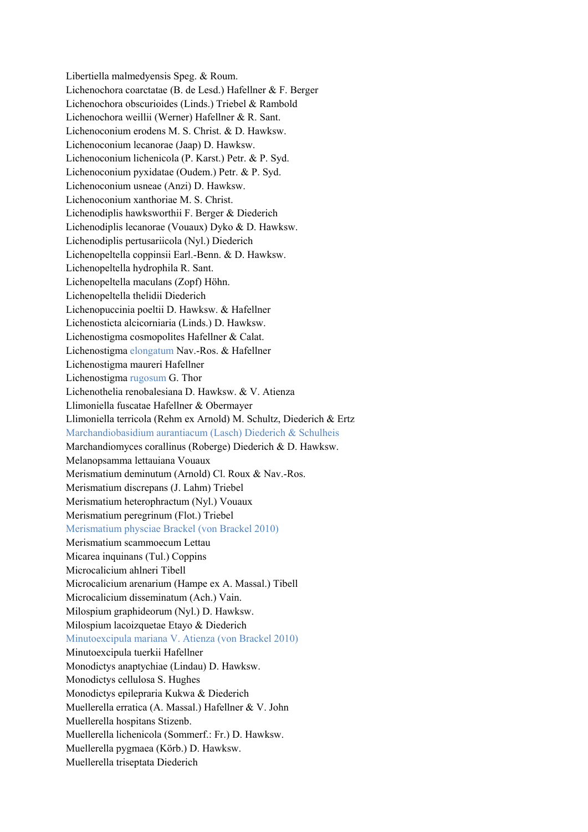Libertiella malmedyensis Speg. & Roum. Lichenochora coarctatae (B. de Lesd.) Hafellner & F. Berger Lichenochora obscurioides (Linds.) Triebel & Rambold Lichenochora weillii (Werner) Hafellner & R. Sant. Lichenoconium erodens M. S. Christ. & D. Hawksw. Lichenoconium lecanorae (Jaap) D. Hawksw. Lichenoconium lichenicola (P. Karst.) Petr. & P. Syd. Lichenoconium pyxidatae (Oudem.) Petr. & P. Syd. Lichenoconium usneae (Anzi) D. Hawksw. Lichenoconium xanthoriae M. S. Christ. Lichenodiplis hawksworthii F. Berger & Diederich Lichenodiplis lecanorae (Vouaux) Dyko & D. Hawksw. Lichenodiplis pertusariicola (Nyl.) Diederich Lichenopeltella coppinsii Earl.-Benn. & D. Hawksw. Lichenopeltella hydrophila R. Sant. Lichenopeltella maculans (Zopf) Höhn. Lichenopeltella thelidii Diederich Lichenopuccinia poeltii D. Hawksw. & Hafellner Lichenosticta alcicorniaria (Linds.) D. Hawksw. Lichenostigma cosmopolites Hafellner & Calat. Lichenostigma elongatum Nav.-Ros. & Hafellner Lichenostigma maureri Hafellner Lichenostigma rugosum G. Thor Lichenothelia renobalesiana D. Hawksw. & V. Atienza Llimoniella fuscatae Hafellner & Obermayer Llimoniella terricola (Rehm ex Arnold) M. Schultz, Diederich & Ertz Marchandiobasidium aurantiacum (Lasch) Diederich & Schulheis Marchandiomyces corallinus (Roberge) Diederich & D. Hawksw. Melanopsamma lettauiana Vouaux Merismatium deminutum (Arnold) Cl. Roux & Nav.-Ros. Merismatium discrepans (J. Lahm) Triebel Merismatium heterophractum (Nyl.) Vouaux Merismatium peregrinum (Flot.) Triebel Merismatium physciae Brackel (von Brackel 2010) Merismatium scammoecum Lettau Micarea inquinans (Tul.) Coppins Microcalicium ahlneri Tibell Microcalicium arenarium (Hampe ex A. Massal.) Tibell Microcalicium disseminatum (Ach.) Vain. Milospium graphideorum (Nyl.) D. Hawksw. Milospium lacoizquetae Etayo & Diederich Minutoexcipula mariana V. Atienza (von Brackel 2010) Minutoexcipula tuerkii Hafellner Monodictys anaptychiae (Lindau) D. Hawksw. Monodictys cellulosa S. Hughes Monodictys epilepraria Kukwa & Diederich Muellerella erratica (A. Massal.) Hafellner & V. John Muellerella hospitans Stizenb. Muellerella lichenicola (Sommerf.: Fr.) D. Hawksw. Muellerella pygmaea (Körb.) D. Hawksw. Muellerella triseptata Diederich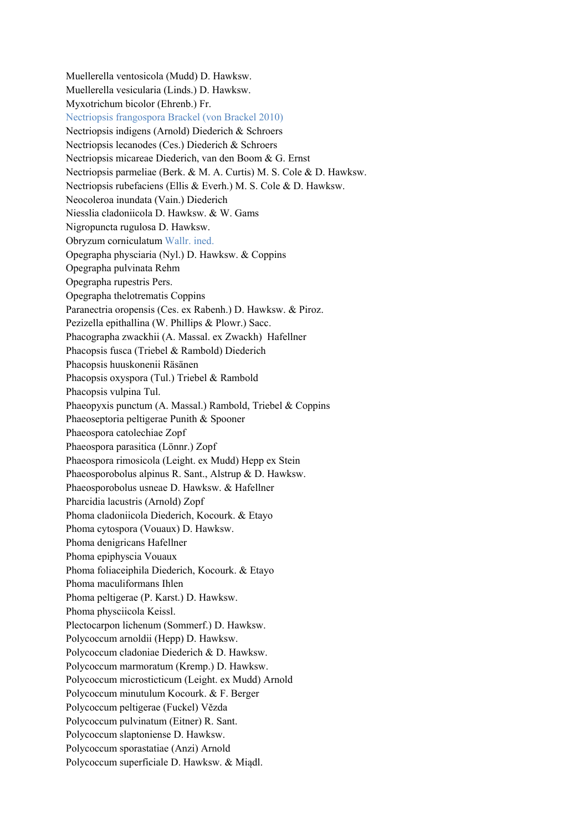Muellerella ventosicola (Mudd) D. Hawksw. Muellerella vesicularia (Linds.) D. Hawksw. Myxotrichum bicolor (Ehrenb.) Fr. Nectriopsis frangospora Brackel (von Brackel 2010) Nectriopsis indigens (Arnold) Diederich & Schroers Nectriopsis lecanodes (Ces.) Diederich & Schroers Nectriopsis micareae Diederich, van den Boom & G. Ernst Nectriopsis parmeliae (Berk. & M. A. Curtis) M. S. Cole & D. Hawksw. Nectriopsis rubefaciens (Ellis & Everh.) M. S. Cole & D. Hawksw. Neocoleroa inundata (Vain.) Diederich Niesslia cladoniicola D. Hawksw. & W. Gams Nigropuncta rugulosa D. Hawksw. Obryzum corniculatum Wallr. ined. Opegrapha physciaria (Nyl.) D. Hawksw. & Coppins Opegrapha pulvinata Rehm Opegrapha rupestris Pers. Opegrapha thelotrematis Coppins Paranectria oropensis (Ces. ex Rabenh.) D. Hawksw. & Piroz. Pezizella epithallina (W. Phillips & Plowr.) Sacc. Phacographa zwackhii (A. Massal. ex Zwackh) Hafellner Phacopsis fusca (Triebel & Rambold) Diederich Phacopsis huuskonenii Räsänen Phacopsis oxyspora (Tul.) Triebel & Rambold Phacopsis vulpina Tul. Phaeopyxis punctum (A. Massal.) Rambold, Triebel & Coppins Phaeoseptoria peltigerae Punith & Spooner Phaeospora catolechiae Zopf Phaeospora parasitica (Lönnr.) Zopf Phaeospora rimosicola (Leight. ex Mudd) Hepp ex Stein Phaeosporobolus alpinus R. Sant., Alstrup & D. Hawksw. Phaeosporobolus usneae D. Hawksw. & Hafellner Pharcidia lacustris (Arnold) Zopf Phoma cladoniicola Diederich, Kocourk. & Etayo Phoma cytospora (Vouaux) D. Hawksw. Phoma denigricans Hafellner Phoma epiphyscia Vouaux Phoma foliaceiphila Diederich, Kocourk. & Etayo Phoma maculiformans Ihlen Phoma peltigerae (P. Karst.) D. Hawksw. Phoma physciicola Keissl. Plectocarpon lichenum (Sommerf.) D. Hawksw. Polycoccum arnoldii (Hepp) D. Hawksw. Polycoccum cladoniae Diederich & D. Hawksw. Polycoccum marmoratum (Kremp.) D. Hawksw. Polycoccum microsticticum (Leight. ex Mudd) Arnold Polycoccum minutulum Kocourk. & F. Berger Polycoccum peltigerae (Fuckel) Vězda Polycoccum pulvinatum (Eitner) R. Sant. Polycoccum slaptoniense D. Hawksw. Polycoccum sporastatiae (Anzi) Arnold Polycoccum superficiale D. Hawksw. & Miądl.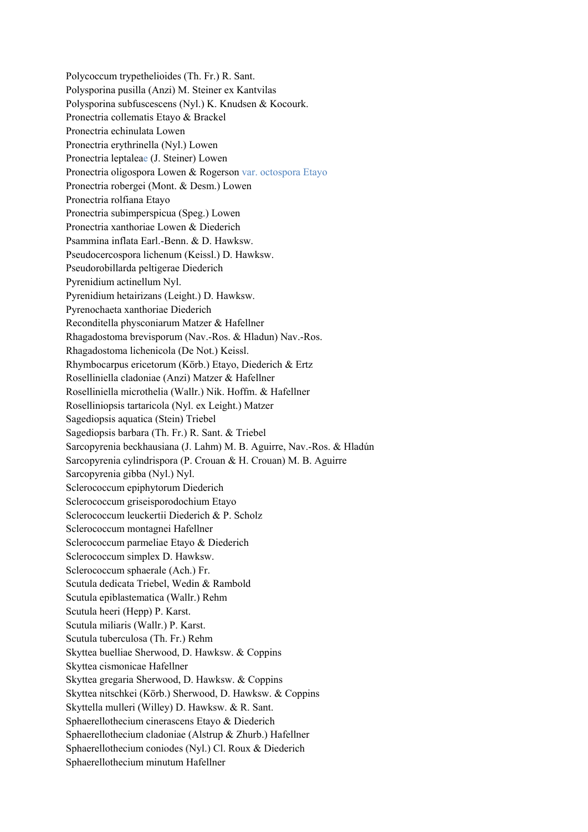Polycoccum trypethelioides (Th. Fr.) R. Sant. Polysporina pusilla (Anzi) M. Steiner ex Kantvilas Polysporina subfuscescens (Nyl.) K. Knudsen & Kocourk. Pronectria collematis Etayo & Brackel Pronectria echinulata Lowen Pronectria erythrinella (Nyl.) Lowen Pronectria leptaleae (J. Steiner) Lowen Pronectria oligospora Lowen & Rogerson var. octospora Etayo Pronectria robergei (Mont. & Desm.) Lowen Pronectria rolfiana Etayo Pronectria subimperspicua (Speg.) Lowen Pronectria xanthoriae Lowen & Diederich Psammina inflata Earl.-Benn. & D. Hawksw. Pseudocercospora lichenum (Keissl.) D. Hawksw. Pseudorobillarda peltigerae Diederich Pyrenidium actinellum Nyl. Pyrenidium hetairizans (Leight.) D. Hawksw. Pyrenochaeta xanthoriae Diederich Reconditella physconiarum Matzer & Hafellner Rhagadostoma brevisporum (Nav.-Ros. & Hladun) Nav.-Ros. Rhagadostoma lichenicola (De Not.) Keissl. Rhymbocarpus ericetorum (Körb.) Etayo, Diederich & Ertz Roselliniella cladoniae (Anzi) Matzer & Hafellner Roselliniella microthelia (Wallr.) Nik. Hoffm. & Hafellner Roselliniopsis tartaricola (Nyl. ex Leight.) Matzer Sagediopsis aquatica (Stein) Triebel Sagediopsis barbara (Th. Fr.) R. Sant. & Triebel Sarcopyrenia beckhausiana (J. Lahm) M. B. Aguirre, Nav.-Ros. & Hladún Sarcopyrenia cylindrispora (P. Crouan & H. Crouan) M. B. Aguirre Sarcopyrenia gibba (Nyl.) Nyl. Sclerococcum epiphytorum Diederich Sclerococcum griseisporodochium Etayo Sclerococcum leuckertii Diederich & P. Scholz Sclerococcum montagnei Hafellner Sclerococcum parmeliae Etayo & Diederich Sclerococcum simplex D. Hawksw. Sclerococcum sphaerale (Ach.) Fr. Scutula dedicata Triebel, Wedin & Rambold Scutula epiblastematica (Wallr.) Rehm Scutula heeri (Hepp) P. Karst. Scutula miliaris (Wallr.) P. Karst. Scutula tuberculosa (Th. Fr.) Rehm Skyttea buelliae Sherwood, D. Hawksw. & Coppins Skyttea cismonicae Hafellner Skyttea gregaria Sherwood, D. Hawksw. & Coppins Skyttea nitschkei (Körb.) Sherwood, D. Hawksw. & Coppins Skyttella mulleri (Willey) D. Hawksw. & R. Sant. Sphaerellothecium cinerascens Etayo & Diederich Sphaerellothecium cladoniae (Alstrup & Zhurb.) Hafellner Sphaerellothecium coniodes (Nyl.) Cl. Roux & Diederich Sphaerellothecium minutum Hafellner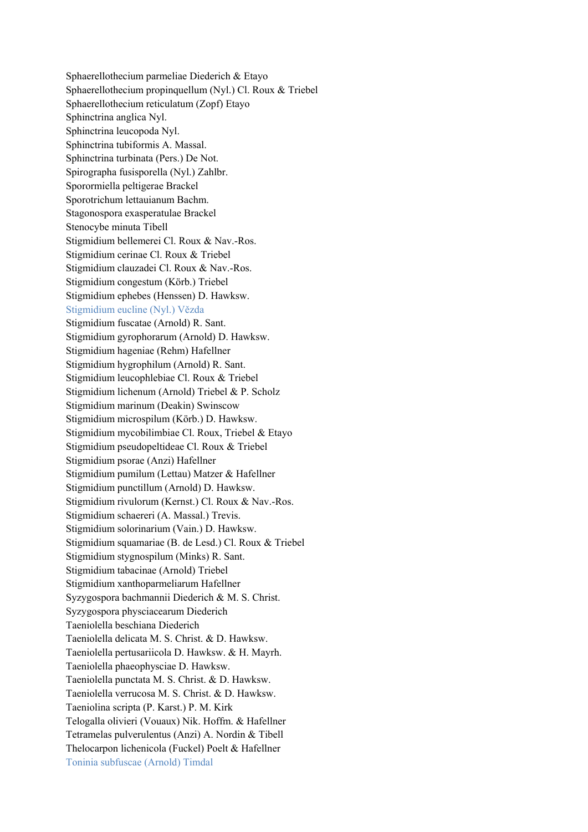Sphaerellothecium parmeliae Diederich & Etayo Sphaerellothecium propinquellum (Nyl.) Cl. Roux & Triebel Sphaerellothecium reticulatum (Zopf) Etayo Sphinctrina anglica Nyl. Sphinctrina leucopoda Nyl. Sphinctrina tubiformis A. Massal. Sphinctrina turbinata (Pers.) De Not. Spirographa fusisporella (Nyl.) Zahlbr. Sporormiella peltigerae Brackel Sporotrichum lettauianum Bachm. Stagonospora exasperatulae Brackel Stenocybe minuta Tibell Stigmidium bellemerei Cl. Roux & Nav.-Ros. Stigmidium cerinae Cl. Roux & Triebel Stigmidium clauzadei Cl. Roux & Nav.-Ros. Stigmidium congestum (Körb.) Triebel Stigmidium ephebes (Henssen) D. Hawksw. Stigmidium eucline (Nyl.) Vězda Stigmidium fuscatae (Arnold) R. Sant. Stigmidium gyrophorarum (Arnold) D. Hawksw. Stigmidium hageniae (Rehm) Hafellner Stigmidium hygrophilum (Arnold) R. Sant. Stigmidium leucophlebiae Cl. Roux & Triebel Stigmidium lichenum (Arnold) Triebel & P. Scholz Stigmidium marinum (Deakin) Swinscow Stigmidium microspilum (Körb.) D. Hawksw. Stigmidium mycobilimbiae Cl. Roux, Triebel & Etayo Stigmidium pseudopeltideae Cl. Roux & Triebel Stigmidium psorae (Anzi) Hafellner Stigmidium pumilum (Lettau) Matzer & Hafellner Stigmidium punctillum (Arnold) D. Hawksw. Stigmidium rivulorum (Kernst.) Cl. Roux & Nav.-Ros. Stigmidium schaereri (A. Massal.) Trevis. Stigmidium solorinarium (Vain.) D. Hawksw. Stigmidium squamariae (B. de Lesd.) Cl. Roux & Triebel Stigmidium stygnospilum (Minks) R. Sant. Stigmidium tabacinae (Arnold) Triebel Stigmidium xanthoparmeliarum Hafellner Syzygospora bachmannii Diederich & M. S. Christ. Syzygospora physciacearum Diederich Taeniolella beschiana Diederich Taeniolella delicata M. S. Christ. & D. Hawksw. Taeniolella pertusariicola D. Hawksw. & H. Mayrh. Taeniolella phaeophysciae D. Hawksw. Taeniolella punctata M. S. Christ. & D. Hawksw. Taeniolella verrucosa M. S. Christ. & D. Hawksw. Taeniolina scripta (P. Karst.) P. M. Kirk Telogalla olivieri (Vouaux) Nik. Hoffm. & Hafellner Tetramelas pulverulentus (Anzi) A. Nordin & Tibell Thelocarpon lichenicola (Fuckel) Poelt & Hafellner Toninia subfuscae (Arnold) Timdal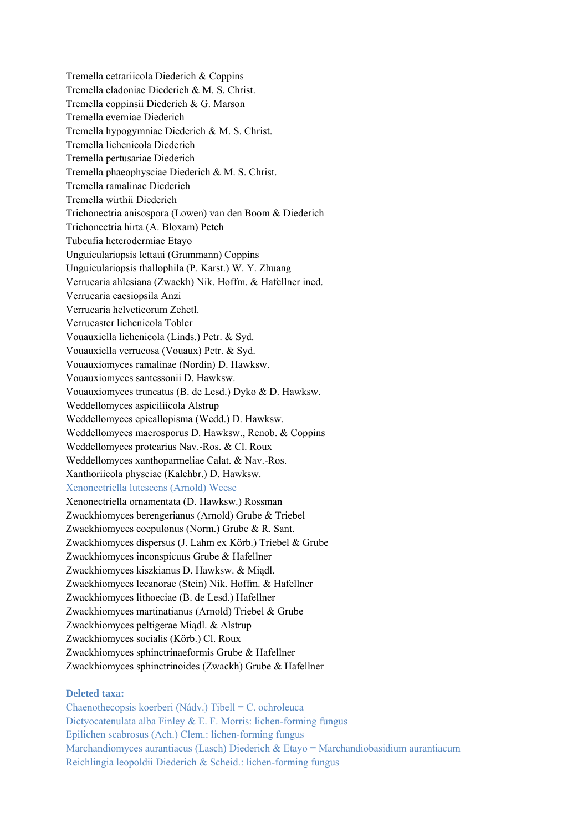Tremella cetrariicola Diederich & Coppins Tremella cladoniae Diederich & M. S. Christ. Tremella coppinsii Diederich & G. Marson Tremella everniae Diederich Tremella hypogymniae Diederich & M. S. Christ. Tremella lichenicola Diederich Tremella pertusariae Diederich Tremella phaeophysciae Diederich & M. S. Christ. Tremella ramalinae Diederich Tremella wirthii Diederich Trichonectria anisospora (Lowen) van den Boom & Diederich Trichonectria hirta (A. Bloxam) Petch Tubeufia heterodermiae Etayo Unguiculariopsis lettaui (Grummann) Coppins Unguiculariopsis thallophila (P. Karst.) W. Y. Zhuang Verrucaria ahlesiana (Zwackh) Nik. Hoffm. & Hafellner ined. Verrucaria caesiopsila Anzi Verrucaria helveticorum Zehetl. Verrucaster lichenicola Tobler Vouauxiella lichenicola (Linds.) Petr. & Syd. Vouauxiella verrucosa (Vouaux) Petr. & Syd. Vouauxiomyces ramalinae (Nordin) D. Hawksw. Vouauxiomyces santessonii D. Hawksw. Vouauxiomyces truncatus (B. de Lesd.) Dyko & D. Hawksw. Weddellomyces aspiciliicola Alstrup Weddellomyces epicallopisma (Wedd.) D. Hawksw. Weddellomyces macrosporus D. Hawksw., Renob. & Coppins Weddellomyces protearius Nav.-Ros. & Cl. Roux Weddellomyces xanthoparmeliae Calat. & Nav.-Ros. Xanthoriicola physciae (Kalchbr.) D. Hawksw. Xenonectriella lutescens (Arnold) Weese Xenonectriella ornamentata (D. Hawksw.) Rossman Zwackhiomyces berengerianus (Arnold) Grube & Triebel Zwackhiomyces coepulonus (Norm.) Grube & R. Sant. Zwackhiomyces dispersus (J. Lahm ex Körb.) Triebel & Grube Zwackhiomyces inconspicuus Grube & Hafellner Zwackhiomyces kiszkianus D. Hawksw. & Miądl. Zwackhiomyces lecanorae (Stein) Nik. Hoffm. & Hafellner Zwackhiomyces lithoeciae (B. de Lesd.) Hafellner Zwackhiomyces martinatianus (Arnold) Triebel & Grube Zwackhiomyces peltigerae Miądl. & Alstrup Zwackhiomyces socialis (Körb.) Cl. Roux Zwackhiomyces sphinctrinaeformis Grube & Hafellner Zwackhiomyces sphinctrinoides (Zwackh) Grube & Hafellner

## **Deleted taxa:**

Chaenothecopsis koerberi (Nádv.) Tibell = C. ochroleuca Dictyocatenulata alba Finley & E. F. Morris: lichen-forming fungus Epilichen scabrosus (Ach.) Clem.: lichen-forming fungus Marchandiomyces aurantiacus (Lasch) Diederich & Etayo = Marchandiobasidium aurantiacum Reichlingia leopoldii Diederich & Scheid.: lichen-forming fungus